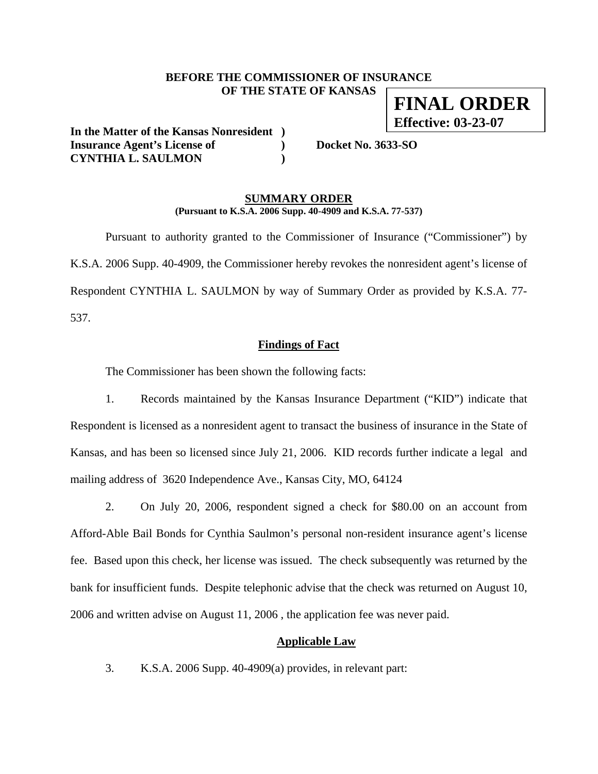## **BEFORE THE COMMISSIONER OF INSURANCE OF THE STATE OF KANSAS FINAL ORDER**

**In the Matter of the Kansas Nonresident ) Insurance Agent's License of ) Docket No. 3633-SO CYNTHIA L. SAULMON )** 

**Effective: 03-23-07**

#### **SUMMARY ORDER (Pursuant to K.S.A. 2006 Supp. 40-4909 and K.S.A. 77-537)**

 Pursuant to authority granted to the Commissioner of Insurance ("Commissioner") by K.S.A. 2006 Supp. 40-4909, the Commissioner hereby revokes the nonresident agent's license of Respondent CYNTHIA L. SAULMON by way of Summary Order as provided by K.S.A. 77- 537.

#### **Findings of Fact**

The Commissioner has been shown the following facts:

1. Records maintained by the Kansas Insurance Department ("KID") indicate that Respondent is licensed as a nonresident agent to transact the business of insurance in the State of Kansas, and has been so licensed since July 21, 2006. KID records further indicate a legal and mailing address of 3620 Independence Ave., Kansas City, MO, 64124

2. On July 20, 2006, respondent signed a check for \$80.00 on an account from Afford-Able Bail Bonds for Cynthia Saulmon's personal non-resident insurance agent's license fee. Based upon this check, her license was issued. The check subsequently was returned by the bank for insufficient funds. Despite telephonic advise that the check was returned on August 10, 2006 and written advise on August 11, 2006 , the application fee was never paid.

# **Applicable Law**

3. K.S.A. 2006 Supp. 40-4909(a) provides, in relevant part: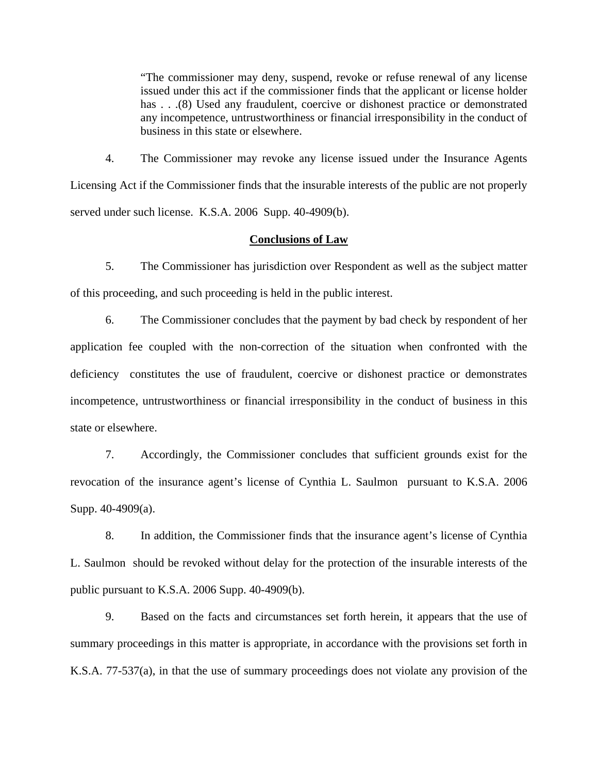"The commissioner may deny, suspend, revoke or refuse renewal of any license issued under this act if the commissioner finds that the applicant or license holder has . . .(8) Used any fraudulent, coercive or dishonest practice or demonstrated any incompetence, untrustworthiness or financial irresponsibility in the conduct of business in this state or elsewhere.

4. The Commissioner may revoke any license issued under the Insurance Agents Licensing Act if the Commissioner finds that the insurable interests of the public are not properly served under such license. K.S.A. 2006 Supp. 40-4909(b).

#### **Conclusions of Law**

5. The Commissioner has jurisdiction over Respondent as well as the subject matter of this proceeding, and such proceeding is held in the public interest.

6. The Commissioner concludes that the payment by bad check by respondent of her application fee coupled with the non-correction of the situation when confronted with the deficiency constitutes the use of fraudulent, coercive or dishonest practice or demonstrates incompetence, untrustworthiness or financial irresponsibility in the conduct of business in this state or elsewhere.

7. Accordingly, the Commissioner concludes that sufficient grounds exist for the revocation of the insurance agent's license of Cynthia L. Saulmon pursuant to K.S.A. 2006 Supp. 40-4909(a).

8. In addition, the Commissioner finds that the insurance agent's license of Cynthia L. Saulmon should be revoked without delay for the protection of the insurable interests of the public pursuant to K.S.A. 2006 Supp. 40-4909(b).

9. Based on the facts and circumstances set forth herein, it appears that the use of summary proceedings in this matter is appropriate, in accordance with the provisions set forth in K.S.A. 77-537(a), in that the use of summary proceedings does not violate any provision of the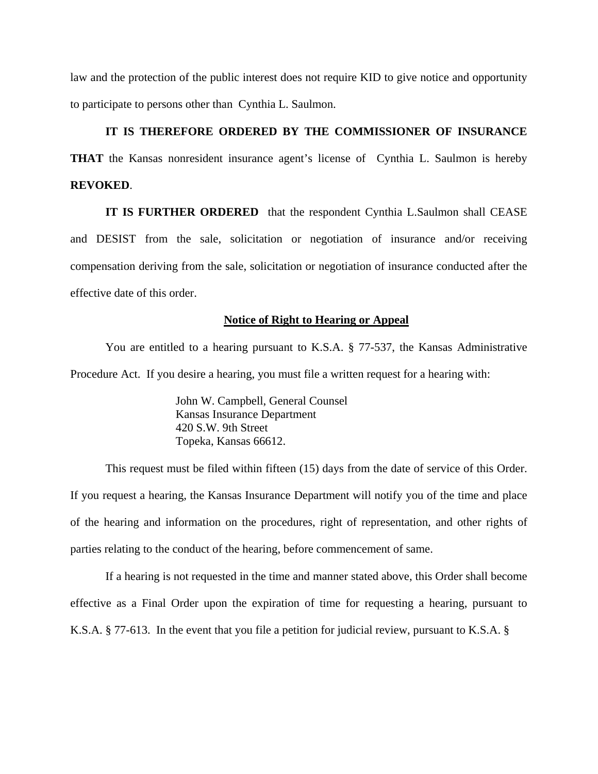law and the protection of the public interest does not require KID to give notice and opportunity to participate to persons other than Cynthia L. Saulmon.

## **IT IS THEREFORE ORDERED BY THE COMMISSIONER OF INSURANCE**

**THAT** the Kansas nonresident insurance agent's license of Cynthia L. Saulmon is hereby **REVOKED**.

**IT IS FURTHER ORDERED** that the respondent Cynthia L.Saulmon shall CEASE and DESIST from the sale, solicitation or negotiation of insurance and/or receiving compensation deriving from the sale, solicitation or negotiation of insurance conducted after the effective date of this order.

#### **Notice of Right to Hearing or Appeal**

You are entitled to a hearing pursuant to K.S.A. § 77-537, the Kansas Administrative Procedure Act. If you desire a hearing, you must file a written request for a hearing with:

> John W. Campbell, General Counsel Kansas Insurance Department 420 S.W. 9th Street Topeka, Kansas 66612.

This request must be filed within fifteen (15) days from the date of service of this Order. If you request a hearing, the Kansas Insurance Department will notify you of the time and place of the hearing and information on the procedures, right of representation, and other rights of parties relating to the conduct of the hearing, before commencement of same.

If a hearing is not requested in the time and manner stated above, this Order shall become effective as a Final Order upon the expiration of time for requesting a hearing, pursuant to K.S.A. § 77-613. In the event that you file a petition for judicial review, pursuant to K.S.A. §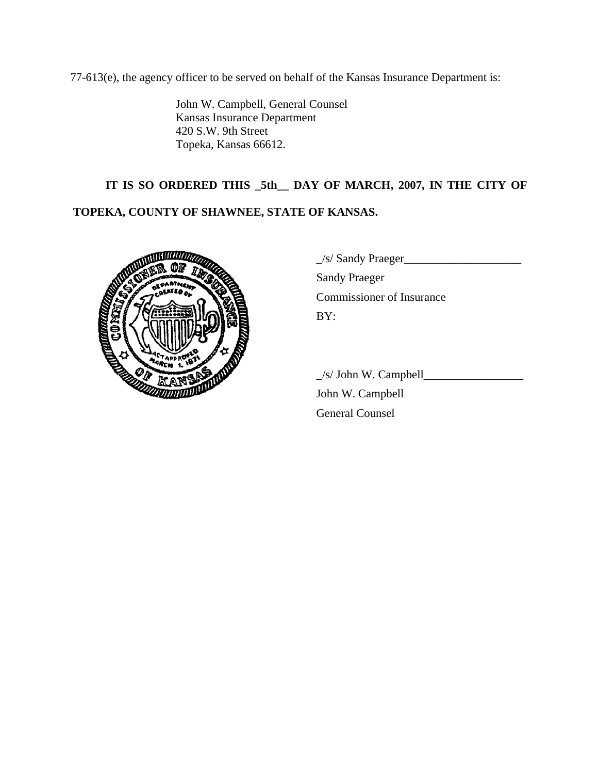77-613(e), the agency officer to be served on behalf of the Kansas Insurance Department is:

John W. Campbell, General Counsel Kansas Insurance Department 420 S.W. 9th Street Topeka, Kansas 66612.

# **IT IS SO ORDERED THIS \_5th\_\_ DAY OF MARCH, 2007, IN THE CITY OF TOPEKA, COUNTY OF SHAWNEE, STATE OF KANSAS.**



|   | $\angle$ s/ Sandy Praeger |
|---|---------------------------|
|   | <b>Sandy Praeger</b>      |
|   | Commissioner of Insurance |
| 濟 | BY:                       |
|   |                           |

 $\angle$ s/ John W. Campbell $\angle$ 

 John W. Campbell General Counsel